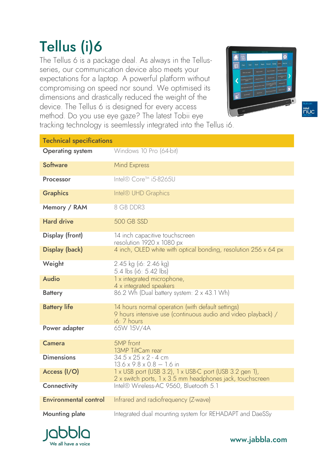Tellus (i)6 The Tellus 6 is a package deal. As always in the Tellusseries, our communication device also meets your expectations for a laptop. A powerful platform without compromising on speed nor sound. We optimised its dimensions and drastically reduced the weight of the device. The Tellus 6 is designed for every access method. Do you use eye gaze? The latest Tobii eye



intel<br>nUC

tracking technology is seemlessly integrated into the Tellus i6.

| <b>Technical specifications</b> |                                                                                                                                   |
|---------------------------------|-----------------------------------------------------------------------------------------------------------------------------------|
| <b>Operating system</b>         | Windows 10 Pro (64-bit)                                                                                                           |
| <b>Software</b>                 | <b>Mind Express</b>                                                                                                               |
| Processor                       | Intel® Core™ i5-8265U                                                                                                             |
| <b>Graphics</b>                 | Intel <sup>®</sup> UHD Graphics                                                                                                   |
| Memory / RAM                    | 8 GB DDR3                                                                                                                         |
| <b>Hard drive</b>               | <b>500 GB SSD</b>                                                                                                                 |
| Display (front)                 | 14 inch capacitive touchscreen<br>resolution 1920 x 1080 px                                                                       |
| <b>Display (back)</b>           | 4 inch, OLED white with optical bonding, resolution 256 x 64 px                                                                   |
| Weight                          | 2.45 kg (i6: 2.46 kg)<br>5.4 lbs (i6: 5.42 lbs)                                                                                   |
| <b>Audio</b>                    | 1 x integrated microphone,<br>4 x integrated speakers                                                                             |
| <b>Battery</b>                  | 86.2 Wh (Dual battery system: 2 x 43.1 Wh)                                                                                        |
| <b>Battery life</b>             | 14 hours normal operation (with default settings)<br>9 hours intensive use (continuous audio and video playback) /<br>i6: 7 hours |
| Power adapter                   | 65W 15V/4A                                                                                                                        |
| <b>Camera</b>                   | 5MP front<br>13MP TiltCam rear                                                                                                    |
| <b>Dimensions</b>               | $34.5 \times 25 \times 2 - 4$ cm<br>$13.6 \times 9.8 \times 0.8 - 1.6$ in                                                         |
| Access (I/O)                    | 1 x USB port (USB 3.2), 1 x USB-C port (USB 3.2 gen 1),<br>2 x switch ports, 1 x 3.5 mm headphones jack, touchscreen              |
| Connectivity                    | Intel® Wireless-AC 9560, Bluetooth 5.1                                                                                            |
| <b>Environmental control</b>    | Infrared and radiofrequency (Z-wave)                                                                                              |
| <b>Mounting plate</b>           | Integrated dual mounting system for REHADAPT and DaeSSy                                                                           |



www.jabbla.com